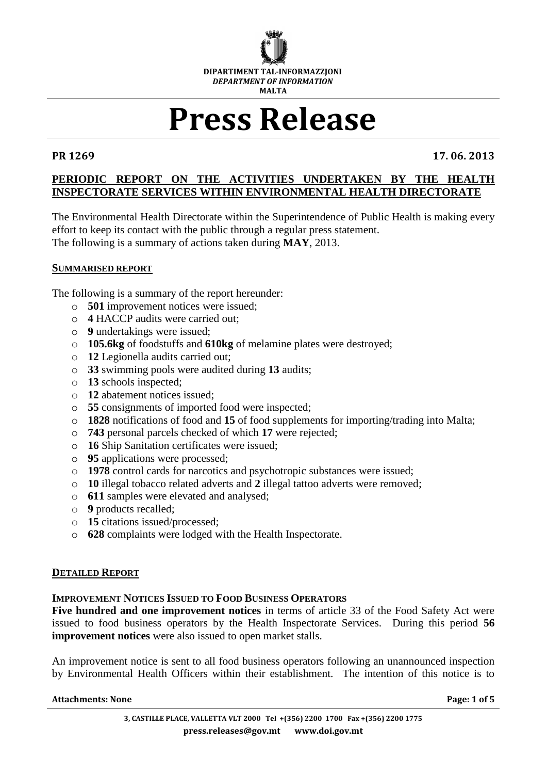

# **Press Release**

**PR 1269 17. 06. 2013**

# **PERIODIC REPORT ON THE ACTIVITIES UNDERTAKEN BY THE HEALTH INSPECTORATE SERVICES WITHIN ENVIRONMENTAL HEALTH DIRECTORATE**

The Environmental Health Directorate within the Superintendence of Public Health is making every effort to keep its contact with the public through a regular press statement. The following is a summary of actions taken during **MAY**, 2013.

### **SUMMARISED REPORT**

The following is a summary of the report hereunder:

- o **501** improvement notices were issued;
- o **4** HACCP audits were carried out;
- o **9** undertakings were issued;
- o **105.6kg** of foodstuffs and **610kg** of melamine plates were destroyed;
- o **12** Legionella audits carried out;
- o **33** swimming pools were audited during **13** audits;
- o **13** schools inspected;
- o **12** abatement notices issued;
- o **55** consignments of imported food were inspected;
- o **1828** notifications of food and **15** of food supplements for importing/trading into Malta;
- o **743** personal parcels checked of which **17** were rejected;
- o **16** Ship Sanitation certificates were issued;
- o **95** applications were processed;
- o **1978** control cards for narcotics and psychotropic substances were issued;
- o **10** illegal tobacco related adverts and **2** illegal tattoo adverts were removed;
- o **611** samples were elevated and analysed;
- o **9** products recalled;
- o **15** citations issued/processed;
- o **628** complaints were lodged with the Health Inspectorate.

### **DETAILED REPORT**

### **IMPROVEMENT NOTICES ISSUED TO FOOD BUSINESS OPERATORS**

**Five hundred and one improvement notices** in terms of article 33 of the Food Safety Act were issued to food business operators by the Health Inspectorate Services. During this period **56 improvement notices** were also issued to open market stalls.

An improvement notice is sent to all food business operators following an unannounced inspection by Environmental Health Officers within their establishment. The intention of this notice is to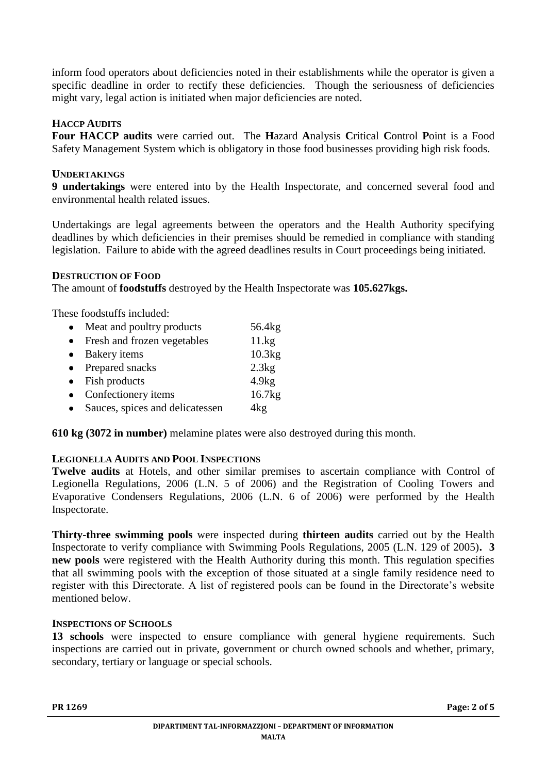inform food operators about deficiencies noted in their establishments while the operator is given a specific deadline in order to rectify these deficiencies. Though the seriousness of deficiencies might vary, legal action is initiated when major deficiencies are noted.

# **HACCP AUDITS**

**Four HACCP audits** were carried out. The **H**azard **A**nalysis **C**ritical **C**ontrol **P**oint is a Food Safety Management System which is obligatory in those food businesses providing high risk foods.

# **UNDERTAKINGS**

**9 undertakings** were entered into by the Health Inspectorate, and concerned several food and environmental health related issues.

Undertakings are legal agreements between the operators and the Health Authority specifying deadlines by which deficiencies in their premises should be remedied in compliance with standing legislation. Failure to abide with the agreed deadlines results in Court proceedings being initiated.

### **DESTRUCTION OF FOOD**

The amount of **foodstuffs** destroyed by the Health Inspectorate was **105.627kgs.**

These foodstuffs included:

| $\bullet$ | Meat and poultry products       | 56.4 <sub>kg</sub> |
|-----------|---------------------------------|--------------------|
| $\bullet$ | Fresh and frozen vegetables     | 11.kg              |
| $\bullet$ | Bakery items                    | 10.3kg             |
|           | • Prepared snacks               | 2.3kg              |
|           | $\bullet$ Fish products         | 4.9kg              |
|           | Confectionery items             | 16.7kg             |
|           | Sauces, spices and delicatessen | 4kg                |

**610 kg (3072 in number)** melamine plates were also destroyed during this month.

# **LEGIONELLA AUDITS AND POOL INSPECTIONS**

**Twelve audits** at Hotels, and other similar premises to ascertain compliance with Control of Legionella Regulations, 2006 (L.N. 5 of 2006) and the Registration of Cooling Towers and Evaporative Condensers Regulations, 2006 (L.N. 6 of 2006) were performed by the Health Inspectorate.

**Thirty-three swimming pools** were inspected during **thirteen audits** carried out by the Health Inspectorate to verify compliance with Swimming Pools Regulations, 2005 (L.N. 129 of 2005)**. 3 new pools** were registered with the Health Authority during this month. This regulation specifies that all swimming pools with the exception of those situated at a single family residence need to register with this Directorate. A list of registered pools can be found in the Directorate's website mentioned below.

# **INSPECTIONS OF SCHOOLS**

**13 schools** were inspected to ensure compliance with general hygiene requirements. Such inspections are carried out in private, government or church owned schools and whether, primary, secondary, tertiary or language or special schools.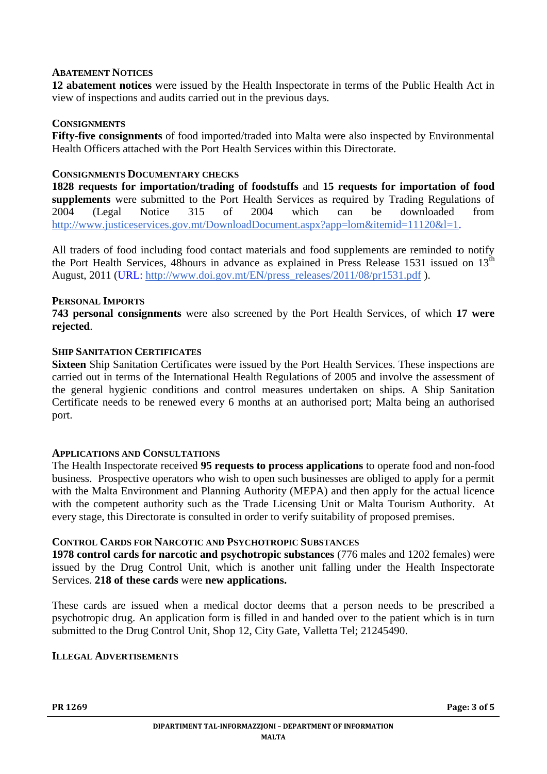### **ABATEMENT NOTICES**

**12 abatement notices** were issued by the Health Inspectorate in terms of the Public Health Act in view of inspections and audits carried out in the previous days.

#### **CONSIGNMENTS**

**Fifty-five consignments** of food imported/traded into Malta were also inspected by Environmental Health Officers attached with the Port Health Services within this Directorate.

#### **CONSIGNMENTS DOCUMENTARY CHECKS**

**1828 requests for importation/trading of foodstuffs** and **15 requests for importation of food supplements** were submitted to the Port Health Services as required by Trading Regulations of 2004 (Legal Notice 315 of 2004 which can be downloaded from [http://www.justiceservices.gov.mt/DownloadDocument.aspx?app=lom&itemid=11120&l=1.](http://www.justiceservices.gov.mt/DownloadDocument.aspx?app=lom&itemid=11120&l=1)

All traders of food including food contact materials and food supplements are reminded to notify the Port Health Services, 48hours in advance as explained in Press Release 1531 issued on  $13<sup>th</sup>$ August, 2011 (URL: [http://www.doi.gov.mt/EN/press\\_releases/2011/08/pr1531.pdf](http://www.doi.gov.mt/EN/press_releases/2011/08/pr1531.pdf) ).

#### **PERSONAL IMPORTS**

**743 personal consignments** were also screened by the Port Health Services, of which **17 were rejected**.

#### **SHIP SANITATION CERTIFICATES**

**Sixteen** Ship Sanitation Certificates were issued by the Port Health Services. These inspections are carried out in terms of the International Health Regulations of 2005 and involve the assessment of the general hygienic conditions and control measures undertaken on ships. A Ship Sanitation Certificate needs to be renewed every 6 months at an authorised port; Malta being an authorised port.

#### **APPLICATIONS AND CONSULTATIONS**

The Health Inspectorate received **95 requests to process applications** to operate food and non-food business. Prospective operators who wish to open such businesses are obliged to apply for a permit with the Malta Environment and Planning Authority (MEPA) and then apply for the actual licence with the competent authority such as the Trade Licensing Unit or Malta Tourism Authority. At every stage, this Directorate is consulted in order to verify suitability of proposed premises.

#### **CONTROL CARDS FOR NARCOTIC AND PSYCHOTROPIC SUBSTANCES**

**1978 control cards for narcotic and psychotropic substances** (776 males and 1202 females) were issued by the Drug Control Unit, which is another unit falling under the Health Inspectorate Services. **218 of these cards** were **new applications.**

These cards are issued when a medical doctor deems that a person needs to be prescribed a psychotropic drug. An application form is filled in and handed over to the patient which is in turn submitted to the Drug Control Unit, Shop 12, City Gate, Valletta Tel; 21245490.

### **ILLEGAL ADVERTISEMENTS**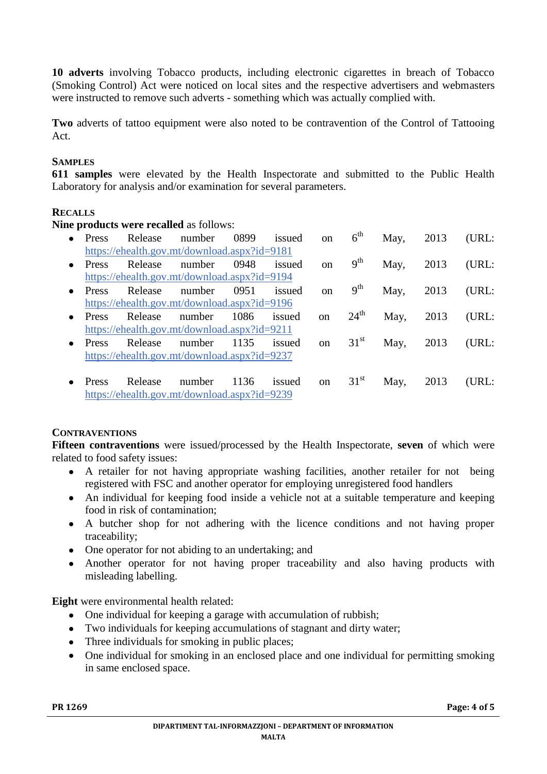**10 adverts** involving Tobacco products, including electronic cigarettes in breach of Tobacco (Smoking Control) Act were noticed on local sites and the respective advertisers and webmasters were instructed to remove such adverts - something which was actually complied with.

**Two** adverts of tattoo equipment were also noted to be contravention of the Control of Tattooing Act.

# **SAMPLES**

**611 samples** were elevated by the Health Inspectorate and submitted to the Public Health Laboratory for analysis and/or examination for several parameters.

# **RECALLS**

**Nine products were recalled** as follows:

| $\bullet$ | Press                                        | Release | number                                       | 0899 | issued | on            | $6^{\text{th}}$  | May,      | 2013 | (URL: |  |  |  |
|-----------|----------------------------------------------|---------|----------------------------------------------|------|--------|---------------|------------------|-----------|------|-------|--|--|--|
|           | https://ehealth.gov.mt/download.aspx?id=9181 |         |                                              |      |        |               |                  |           |      |       |  |  |  |
| $\bullet$ | Press                                        | Release | number                                       | 0948 | issued | <sub>on</sub> | 9 <sup>th</sup>  | May,      | 2013 | (URL: |  |  |  |
|           |                                              |         | https://ehealth.gov.mt/download.aspx?id=9194 |      |        |               |                  |           |      |       |  |  |  |
| $\bullet$ | Press                                        | Release | number                                       | 0951 | issued | <sub>on</sub> | 9 <sup>th</sup>  | May,      | 2013 | (URL: |  |  |  |
|           |                                              |         | https://ehealth.gov.mt/download.aspx?id=9196 |      |        |               |                  |           |      |       |  |  |  |
| $\bullet$ | Press                                        | Release | number                                       | 1086 | issued | <sub>on</sub> | $24^{\text{th}}$ | May,      | 2013 | (URL: |  |  |  |
|           | https://ehealth.gov.mt/download.aspx?id=9211 |         |                                              |      |        |               |                  |           |      |       |  |  |  |
| $\bullet$ | Press                                        | Release | number                                       | 1135 | issued | on            | $31^{\rm st}$    | May, 2013 |      | (URL: |  |  |  |
|           | https://ehealth.gov.mt/download.aspx?id=9237 |         |                                              |      |        |               |                  |           |      |       |  |  |  |
|           |                                              |         |                                              |      |        |               |                  |           |      |       |  |  |  |
|           | Press                                        | Release | number                                       | 1136 | issued | on            | 31 <sup>st</sup> | May,      | 2013 | (URL: |  |  |  |
|           |                                              |         | https://ehealth.gov.mt/download.aspx?id=9239 |      |        |               |                  |           |      |       |  |  |  |

# **CONTRAVENTIONS**

**Fifteen contraventions** were issued/processed by the Health Inspectorate, **seven** of which were related to food safety issues:

- A retailer for not having appropriate washing facilities, another retailer for not being  $\bullet$ registered with FSC and another operator for employing unregistered food handlers
- An individual for keeping food inside a vehicle not at a suitable temperature and keeping  $\bullet$ food in risk of contamination;
- A butcher shop for not adhering with the licence conditions and not having proper traceability;
- One operator for not abiding to an undertaking; and  $\bullet$
- Another operator for not having proper traceability and also having products with  $\bullet$ misleading labelling.

**Eight** were environmental health related:

- $\bullet$ One individual for keeping a garage with accumulation of rubbish;
- Two individuals for keeping accumulations of stagnant and dirty water;
- Three individuals for smoking in public places;  $\bullet$
- One individual for smoking in an enclosed place and one individual for permitting smoking in same enclosed space.